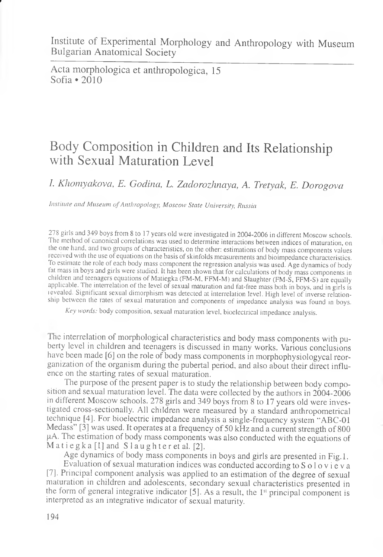Acta morphologica et anthropologica, 15 Sofia  $\bullet$  2010

*t.*

## Body Composition in Children and Its Relationship with Sexual Maturation Level

*I. Khomyakova, E. Godina, L. Zadorozhnaya, A. Tretyak, E. Dorogova*

*Institute and Museum of Anthropology, Moscow State University', Russia*

278 girls and 349 boys from 8 to 17 years old were investigated in 2004-2006 in different Moscow schools. The method of canonical correlations was used to determine interactions between indices of maturation, on the one hand, and two groups of characteristics, on the other: estimations of body mass components values received with the use of equations on the basis of skinfolds measurements and bioimpedance characteristics. To estimate the role of each body mass component the regression analysis was used. Age dynamics of body fat mass in boys and girls were studied. It has been shown that for calculations of body mass components in children and teenagers equations of Matiegka (FM-M, FFM-M) and Slaughter (FM-S, FFM-S) are equally applicable. The interrelation of the level of sexual maturation and fat-free mass both in boys, and in girls is levealed. Significant sexual dimorphism was detected at interrelation level. High level of inverse relationship between the rates of sexual maturation and components of impedance analysis was found in boys.

*Key words:* body composition, sexual maturation level, bioelectrical impedance analysis.

The interrelation of morphological characteristics and body mass components with puberty level in children and teenagers is discussed in many works. Various conclusions have been made [6] on the role of body mass components in morphophysiologycal reorganization of the organism during the pubertal period, and also about their direct influence on the starting rates of sexual maturation.

The purpose of the present paper is to study the relationship between body composition and sexual maturation level. The data were collected by the authors in 2004-2006 in different Moscow schools. 278 girls and 349 boys from 8 to 17 years old were investigated cross-sectionally. All children were measured by a standard anthropometrical technique [4]. For bioelectric impedance analysis a single-frequency system "ABC-01 Medass" [3] was used. It operates at a frequency of 50 kHz and a current strength of 800  $\mu$ A. The estimation of body mass components was also conducted with the equations of Matiegka [1] and Slaughter et al. [2].

Age dynamics of body mass components in boys and girls are presented in Fig.l.

Evaluation of sexual maturation indices was conducted according to  $S$  o l o v i e v a [7]. Principal component analysis was applied to an estimation of the degree of sexual maturation in children and adolescents, secondary sexual characteristics presented in the form of general integrative indicator [5]. As a result, the 1st principal component is interpreted as an integrative indicator of sexual maturity.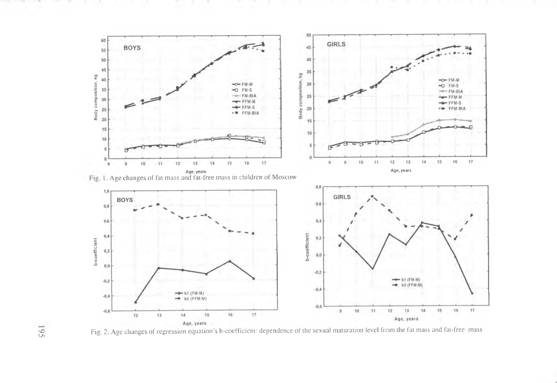

Fig. 2. Age changes of regression equation's b-coefficient: dependence of the sexual maturation level from the fat mass and fat-free mass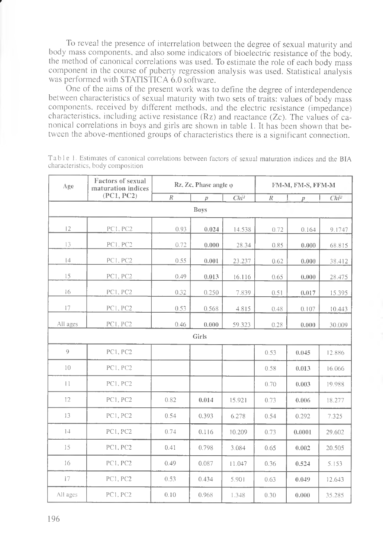To reveal the presence of interrelation between the degree of sexual maturity and body mass components, and also some indicators of bioelectric resistance of the body, the method of canonical correlations was used. To estimate the role of each body mass component in the course of puberty regression analysis was used. Statistical analysis was performed with STATISTICA 6.0 software.

One of the aims of the present work was to define the degree of interdependence between characteristics of sexual maturity with two sets of traits: values of body mass components, received by different methods, and the electric resistance (impedance) characteristics, including active resistance (Rz) and reactance (Zc). The values of canonical correlations in boys and girls are shown in table 1. It has been shown that between the above-mentioned groups of characteristics there is a significant connection.

| Age           | Factors of sexual<br>maturation indices<br>(PC1, PC2) | $Rz$ , $Zc$ , Phase angle $\varphi$ |                  |         | FM-M, FM-S, FFM-M |        |         |
|---------------|-------------------------------------------------------|-------------------------------------|------------------|---------|-------------------|--------|---------|
|               |                                                       | R                                   | $\boldsymbol{D}$ | $Chi^2$ | $\mathbb{R}$      | p      | $Chi^2$ |
| <b>Boys</b>   |                                                       |                                     |                  |         |                   |        |         |
| 12            | PC1, PC2                                              | 0.93                                | 0.024            | 14.538  | 0.72              | 0.164  | 9.1747  |
| 13            | PC1, PC2                                              | 0.72                                | 0.000            | 28.34   | 0.85              | 0.000  | 68.815  |
| 4             | PC1, PC2                                              | 0.55                                | 0.001            | 23.237  | 0.62              | 0.000  | 38.412  |
| 15            | PC1, PC2                                              | 0.49                                | 0.013            | 16.116  | 0.65              | 0.000  | 28.475  |
| 16            | <b>PC1, PC2</b>                                       | 0.32                                | 0.250            | 7.839   | 0.51              | 0.017  | 15.395  |
| 17            | PC1, PC2                                              | 0.53                                | 0.568            | 4.815   | 0.48              | 0.107  | 10.443  |
| All ages      | PC1, PC2                                              | 0.46                                | 0.000            | 59.323  | 0.28              | 0.000  | 30.009  |
| Girls         |                                                       |                                     |                  |         |                   |        |         |
| $\mathcal{Q}$ | <b>PC1, PC2</b>                                       |                                     |                  |         | 0.53              | 0.045  | 12.886  |
| 10            | PC1, PC2                                              |                                     |                  |         | 0.58              | 0.013  | 16.066  |
| $\mathbf{1}$  | PC1, PC2                                              |                                     |                  |         | 0.70              | 0.003  | 19.988  |
| 12            | PC1, PC2                                              | 0.82                                | 0.014            | 15.921  | 0.73              | 0.006  | 18.277  |
| 13            | PC1, PC2                                              | 0.54                                | 0.393            | 6.278   | 0.54              | 0.292  | 7.325   |
| 14            | PC1, PC2                                              | 0.74                                | 0.116            | 10.209  | 0.73              | 0.0001 | 29.602  |
| 15            | PC1, PC2                                              | 0.41                                | 0.798            | 3.084   | 0.65              | 0.002  | 20.505  |
| 16            | PC1, PC2                                              | 0.49                                | 0.087            | 11.047  | 0.36              | 0.524  | 5.153   |
| 17            | PCI, PC2                                              | 0.53                                | 0.434            | 5.901   | 0.63              | 0.049  | 12.643  |
| All ages      | PC1, PC2                                              | 0.10                                | 0.968            | 1.348   | 0.30              | 0.000  | 35.285  |

Table 1. Estimates of canonical correlations between factors of sexual maturation indices and the BIA characteristics, body composition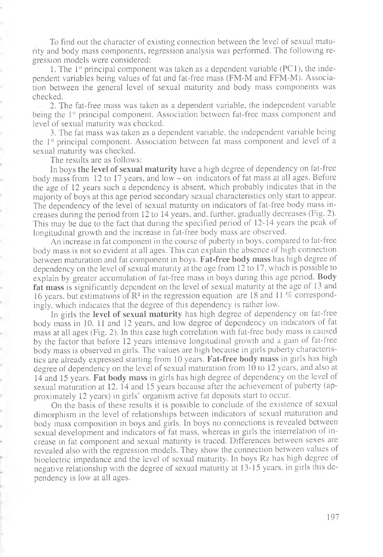To find out the character of existing connection between the level of sexual maturity and body mass components, regression analysis was performed. The following regression models were considered:

1. The  $1<sup>st</sup>$  principal component was taken as a dependent variable (PC1), the independent variables being values of fat and fat-free mass (FM-M and FFM-M). Association between the general level of sexual maturity and body mass components was checked.

2. The fat-free mass was taken as a dependent variable, the independent variable being the 1<sup>st</sup> principal component. Association between fat-free mass component and level of sexual maturity was checked.

3. The fat mass was taken as a dependent variable, the independent variable being the 1st principal component. Association between fat mass component and level of a sexual maturity was checked.

The results are as follows:

In boys the level of sexual maturity have a high degree of dependency on fat-free body mass from 12 to 17 years, and low - on indicators of fat mass at all ages. Before the age of 12 years such a dependency is absent, which probably indicates that in the majority of boys at this age period secondary sexual characteristics only start to appear. The dependency of the level of sexual maturity on indicators of fat-free body mass increases during the period from 12 to 14 years, and. further, gradually decreases (Fig. 2). This may be due to the fact that during the specified period of 12-14 years the peak of longitudinal growth and the increase in fat-free body mass are observed.

An increase in fat component in the course of puberty in boys, compared to fat-free body mass is not so evident at all ages. This can explain the absence of high connection between maturation and fat component in boys. **F at-free body m ass** has high degree of dependency on the level of sexual maturity at the age from 12 to 17, which is possible to explain by greater accumulation of fat-free mass in boys during this age period. **Body** fat mass is significantly dependent on the level of sexual maturity at the age of 13 and 16 years, but estimations of R2 in the regression equation are 18 and 11 *%* correspondingly, which indicates that the degree of this dependency is rather low.

In girls the **level of sexual maturity** has high degree of dependency on fat-free body mass in 10, 11 and 12 years, and low degree of dependency on indicators of fat mass at all ages (Fig. 2). In this case high correlation with fat-free body mass is caused by the factor that before 12 years intensive longitudinal growth and a gain of fat-free body mass is observed in girls. The values are high because in girls puberty characteristics are already expressed starting from 10 years. Fat-free body mass in girls has high degree of dependency on the level of sexual maturation from 10 to 12 years, and also at 14 and 15 years. **F at body m ass** in girls has high degree of dependency on the level of sexual maturation at 12, 14 and 15 years because after the achievement of puberty (approximately 12 years) in girls' organism active fat deposits start to occur.

On the basis of these results it is possible to conclude of the existence of sexual dimorphism in the level of relationships between indicators of sexual maturation and body mass composition in boys and girls. In boys no connections is revealed between sexual development and indicators of fat mass, whereas in girls the interrelation of increase in fat component and sexual maturity is traced. Differences between sexes are revealed also with the regression models. They show the connection between values of bioelectric impedance and the level of sexual maturity. In boys Rz has high degree of negative relationship with the degree of sexual maturity at 13-15 years, in girls this dependency is low at all ages.